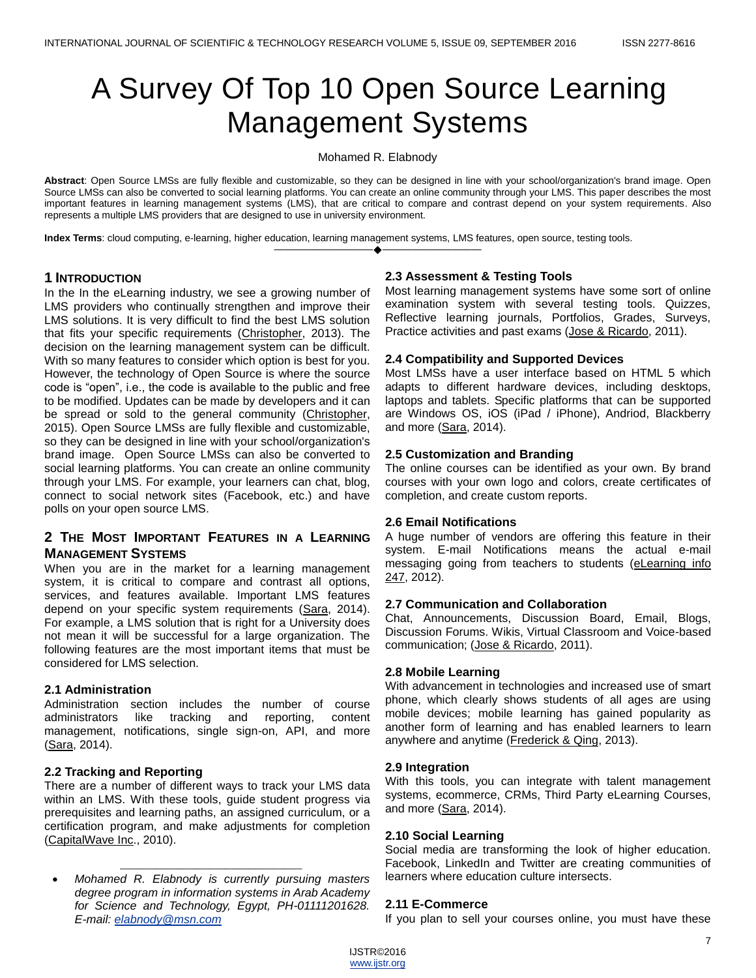# A Survey Of Top 10 Open Source Learning Management Systems

## Mohamed R. Elabnody

**Abstract**: Open Source LMSs are fully flexible and customizable, so they can be designed in line with your school/organization's brand image. Open Source LMSs can also be converted to social learning platforms. You can create an online community through your LMS. This paper describes the most important features in learning management systems (LMS), that are critical to compare and contrast depend on your system requirements. Also represents a multiple LMS providers that are designed to use in university environment.

————————————————————

**Index Terms**: cloud computing, e-learning, higher education, learning management systems, LMS features, open source, testing tools.

# **1 INTRODUCTION**

In the In the eLearning industry, we see a growing number of LMS providers who continually strengthen and improve their LMS solutions. It is very difficult to find the best LMS solution that fits your specific requirements [\(Christopher,](#page-3-0) 2013). The decision on the learning management system can be difficult. With so many features to consider which option is best for you. However, the technology of Open Source is where the source code is "open", i.e., the code is available to the public and free to be modified. Updates can be made by developers and it can be spread or sold to the general community [\(Christopher,](#page-3-1) 2015). Open Source LMSs are fully flexible and customizable, so they can be designed in line with your school/organization's brand image. Open Source LMSs can also be converted to social learning platforms. You can create an online community through your LMS. For example, your learners can chat, blog, connect to social network sites (Facebook, etc.) and have polls on your open source LMS.

# **2 THE MOST IMPORTANT FEATURES IN A LEARNING MANAGEMENT SYSTEMS**

When you are in the market for a learning management system, it is critical to compare and contrast all options, services, and features available. Important LMS features depend on your specific system requirements [\(Sara,](#page-3-2) 2014). For example, a LMS solution that is right for a University does not mean it will be successful for a large organization. The following features are the most important items that must be considered for LMS selection.

# **2.1 Administration**

Administration section includes the number of course administrators like tracking and reporting, content management, notifications, single sign-on, API, and more [\(Sara,](#page-3-2) 2014).

# **2.2 Tracking and Reporting**

There are a number of different ways to track your LMS data within an LMS. With these tools, guide student progress via prerequisites and learning paths, an assigned curriculum, or a certification program, and make adjustments for completion [\(CapitalWave Inc.](#page-3-3), 2010).

 *Mohamed R. Elabnody is currently pursuing masters degree program in information systems in Arab Academy for Science and Technology, Egypt, PH-01111201628. E-mail[: elabnody@msn.com](mailto:elabnody@msn.com)*

\_\_\_\_\_\_\_\_\_\_\_\_\_\_\_\_\_\_\_\_\_\_\_\_\_\_\_\_\_\_\_

## **2.3 Assessment & Testing Tools**

Most learning management systems have some sort of online examination system with several testing tools. Quizzes, Reflective learning journals, Portfolios, Grades, Surveys, Practice activities and past exams [\(Jose & Ricardo,](#page-3-4) 2011).

## **2.4 Compatibility and Supported Devices**

Most LMSs have a user interface based on HTML 5 which adapts to different hardware devices, including desktops, laptops and tablets. Specific platforms that can be supported are Windows OS, iOS (iPad / iPhone), Andriod, Blackberry and more [\(Sara,](#page-3-2) 2014).

## **2.5 Customization and Branding**

The online courses can be identified as your own. By brand courses with your own logo and colors, create certificates of completion, and create custom reports.

# **2.6 Email Notifications**

A huge number of vendors are offering this feature in their system. E-mail Notifications means the actual e-mail messaging going from teachers to students [\(eLearning info](#page-3-5)  [247,](#page-3-5) 2012).

# **2.7 Communication and Collaboration**

Chat, Announcements, Discussion Board, Email, Blogs, Discussion Forums. Wikis, Virtual Classroom and Voice-based communication; [\(Jose & Ricardo,](#page-3-4) 2011).

# **2.8 Mobile Learning**

With advancement in technologies and increased use of smart phone, which clearly shows students of all ages are using mobile devices; mobile learning has gained popularity as another form of learning and has enabled learners to learn anywhere and anytime [\(Frederick & Qing,](#page-3-6) 2013).

## **2.9 Integration**

With this tools, you can integrate with talent management systems, ecommerce, CRMs, Third Party eLearning Courses, and more [\(Sara,](#page-3-2) 2014).

## **2.10 Social Learning**

Social media are transforming the look of higher education. Facebook, LinkedIn and Twitter are creating communities of learners where education culture intersects.

# **2.11 E-Commerce**

If you plan to sell your courses online, you must have these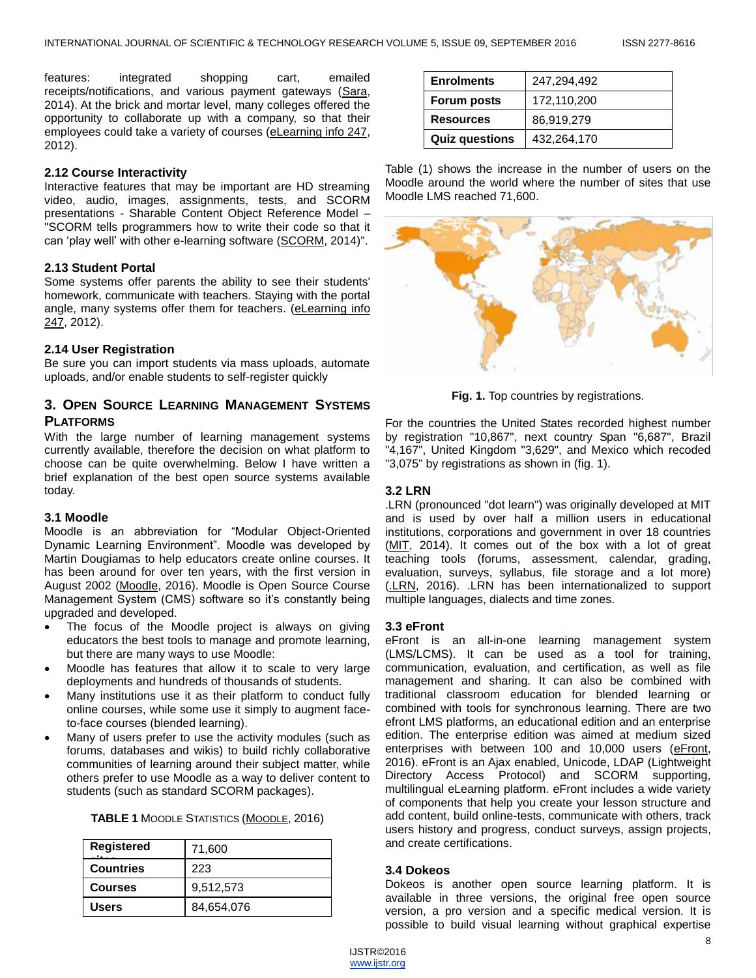features: integrated shopping cart, emailed receipts/notifications, and various payment gateways [\(Sara,](#page-3-2) 2014). At the brick and mortar level, many colleges offered the opportunity to collaborate up with a company, so that their employees could take a variety of courses [\(eLearning info 247,](#page-3-5) 2012).

## **2.12 Course Interactivity**

Interactive features that may be important are HD streaming video, audio, images, assignments, tests, and SCORM presentations - Sharable Content Object Reference Model – "SCORM tells programmers how to write their code so that it can 'play well' with other e-learning software [\(SCORM,](#page-3-7) 2014)".

# **2.13 Student Portal**

Some systems offer parents the ability to see their students' homework, communicate with teachers. Staying with the portal angle, many systems offer them for teachers. [\(eLearning info](#page-3-5)  [247,](#page-3-5) 2012).

## **2.14 User Registration**

Be sure you can import students via mass uploads, automate uploads, and/or enable students to self-register quickly

# **3. OPEN SOURCE LEARNING MANAGEMENT SYSTEMS PLATFORMS**

With the large number of learning management systems currently available, therefore the decision on what platform to choose can be quite overwhelming. Below I have written a brief explanation of the best open source systems available today.

## **3.1 Moodle**

Moodle is an abbreviation for "Modular Object-Oriented Dynamic Learning Environment". Moodle was developed by Martin Dougiamas to help educators create online courses. It has been around for over ten years, with the first version in August 2002 [\(Moodle,](#page-3-8) 2016). Moodle is Open Source Course Management System (CMS) software so it's constantly being upgraded and developed.

- The focus of the Moodle project is always on giving educators the best tools to manage and promote learning, but there are many ways to use Moodle:
- Moodle has features that allow it to scale to very large deployments and hundreds of thousands of students.
- Many institutions use it as their platform to conduct fully online courses, while some use it simply to augment faceto-face courses (blended learning).
- Many of users prefer to use the activity modules (such as forums, databases and wikis) to build richly collaborative communities of learning around their subject matter, while others prefer to use Moodle as a way to deliver content to students (such as standard SCORM packages).

|  | <b>TABLE 1 MOODLE STATISTICS (MOODLE, 2016)</b> |  |  |  |
|--|-------------------------------------------------|--|--|--|
|--|-------------------------------------------------|--|--|--|

| <b>Registered</b> | 71,600     |  |
|-------------------|------------|--|
| <b>Countries</b>  | 223        |  |
| <b>Courses</b>    | 9,512,573  |  |
| <b>Users</b>      | 84,654,076 |  |

| <b>Enrolments</b>     | 247,294,492 |
|-----------------------|-------------|
| Forum posts           | 172,110,200 |
| <b>Resources</b>      | 86,919,279  |
| <b>Quiz questions</b> | 432,264,170 |

Table (1) shows the increase in the number of users on the Moodle around the world where the number of sites that use Moodle LMS reached 71,600.



**Fig. 1.** Top countries by registrations.

For the countries the United States recorded highest number by registration "10,867", next country Span "6,687", Brazil "4,167", United Kingdom "3,629", and Mexico which recoded "3,075" by registrations as shown in (fig. 1).

## **3.2 LRN**

.LRN (pronounced "dot learn") was originally developed at MIT and is used by over half a million users in educational institutions, corporations and government in over 18 countries [\(MIT,](#page-3-10) 2014). It comes out of the box with a lot of great teaching tools (forums, assessment, calendar, grading, evaluation, surveys, syllabus, file storage and a lot more) [\(.LRN,](#page-3-11) 2016). .LRN has been internationalized to support multiple languages, dialects and time zones.

## **3.3 eFront**

eFront is an all-in-one learning management system (LMS/LCMS). It can be used as a tool for training, communication, evaluation, and certification, as well as file management and sharing. It can also be combined with traditional classroom education for blended learning or combined with tools for synchronous learning. There are two efront LMS platforms, an educational edition and an enterprise edition. The enterprise edition was aimed at medium sized enterprises with between 100 and 10,000 users [\(eFront,](#page-3-12) 2016). eFront is an Ajax enabled, Unicode, LDAP (Lightweight Directory Access Protocol) and SCORM supporting, multilingual eLearning platform. eFront includes a wide variety of components that help you create your lesson structure and add content, build online-tests, communicate with others, track users history and progress, conduct surveys, assign projects, and create certifications.

## **3.4 Dokeos**

Dokeos is another open source learning platform. It is available in three versions, the original free open source version, a pro version and a specific medical version. It is possible to build visual learning without graphical expertise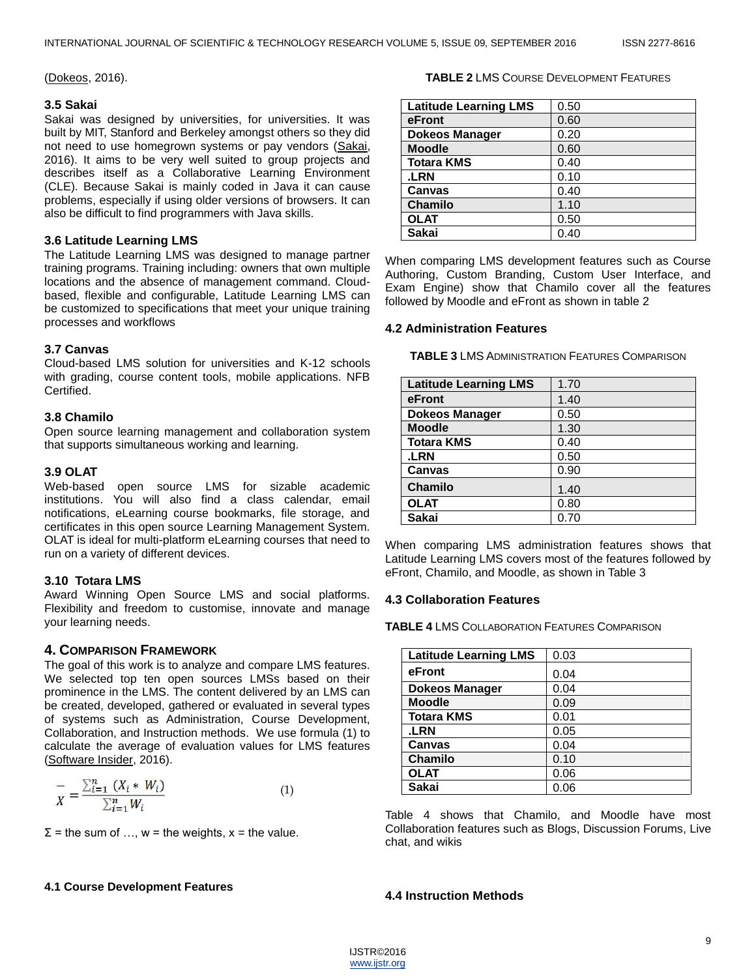[\(Dokeos,](#page-3-13) 2016).

## **3.5 Sakai**

Sakai was designed by universities, for universities. It was built by MIT, Stanford and Berkeley amongst others so they did not need to use homegrown systems or pay vendors [\(Sakai,](#page-3-14) 2016). It aims to be very well suited to group projects and describes itself as a Collaborative Learning Environment (CLE). Because Sakai is mainly coded in Java it can cause problems, especially if using older versions of browsers. It can also be difficult to find programmers with Java skills.

## **3.6 Latitude Learning LMS**

The Latitude Learning LMS was designed to manage partner training programs. Training including: owners that own multiple locations and the absence of management command. Cloudbased, flexible and configurable, Latitude Learning LMS can be customized to specifications that meet your unique training processes and workflows

# **3.7 Canvas**

Cloud-based LMS solution for universities and K-12 schools with grading, course content tools, mobile applications. NFB Certified.

## **3.8 Chamilo**

Open source learning management and collaboration system that supports simultaneous working and learning.

# **3.9 OLAT**

Web-based open source LMS for sizable academic institutions. You will also find a class calendar, email notifications, eLearning course bookmarks, file storage, and certificates in this open source Learning Management System. OLAT is ideal for multi-platform eLearning courses that need to run on a variety of different devices.

# **3.10 Totara LMS**

Award Winning Open Source LMS and social platforms. Flexibility and freedom to customise, innovate and manage your learning needs.

# **4. COMPARISON FRAMEWORK**

The goal of this work is to analyze and compare LMS features. We selected top ten open sources LMSs based on their prominence in the LMS. The content delivered by an LMS can be created, developed, gathered or evaluated in several types of systems such as Administration, Course Development, Collaboration, and Instruction methods. We use formula (1) to calculate the average of evaluation values for LMS features [\(Software Insider,](#page-3-15) 2016).

$$
\frac{1}{X} = \frac{\sum_{i=1}^{n} (X_i * W_i)}{\sum_{i=1}^{n} W_i}
$$
(1)

 $\Sigma$  = the sum of ..., w = the weights, x = the value.

## **4.1 Course Development Features**

#### **TABLE 2** LMS COURSE DEVELOPMENT FEATURES

| <b>Latitude Learning LMS</b> | 0.50 |
|------------------------------|------|
| eFront                       | 0.60 |
| <b>Dokeos Manager</b>        | 0.20 |
| <b>Moodle</b>                | 0.60 |
| <b>Totara KMS</b>            | 0.40 |
| .LRN                         | 0.10 |
| Canvas                       | 0.40 |
| <b>Chamilo</b>               | 1.10 |
| <b>OLAT</b>                  | 0.50 |
| <b>Sakai</b>                 | 0.40 |

When comparing LMS development features such as Course Authoring, Custom Branding, Custom User Interface, and Exam Engine) show that Chamilo cover all the features followed by Moodle and eFront as shown in table 2

## **4.2 Administration Features**

**TABLE 3** LMS ADMINISTRATION FEATURES COMPARISON

| <b>Latitude Learning LMS</b> | 1.70 |
|------------------------------|------|
| eFront                       | 1.40 |
| <b>Dokeos Manager</b>        | 0.50 |
| <b>Moodle</b>                | 1.30 |
| <b>Totara KMS</b>            | 0.40 |
| .LRN                         | 0.50 |
| Canvas                       | 0.90 |
| <b>Chamilo</b>               | 1.40 |
| <b>OLAT</b>                  | 0.80 |
| <b>Sakai</b>                 | 0.70 |

When comparing LMS administration features shows that Latitude Learning LMS covers most of the features followed by eFront, Chamilo, and Moodle, as shown in Table 3

## **4.3 Collaboration Features**

**TABLE 4** LMS COLLABORATION FEATURES COMPARISON

| <b>Latitude Learning LMS</b> | 0.03 |
|------------------------------|------|
| eFront                       | 0.04 |
| <b>Dokeos Manager</b>        | 0.04 |
| <b>Moodle</b>                | 0.09 |
| <b>Totara KMS</b>            | 0.01 |
| .LRN                         | 0.05 |
| Canvas                       | 0.04 |
| <b>Chamilo</b>               | 0.10 |
| <b>OLAT</b>                  | 0.06 |
| Sakai                        | 0.06 |

Table 4 shows that Chamilo, and Moodle have most Collaboration features such as Blogs, Discussion Forums, Live chat, and wikis

# **4.4 Instruction Methods**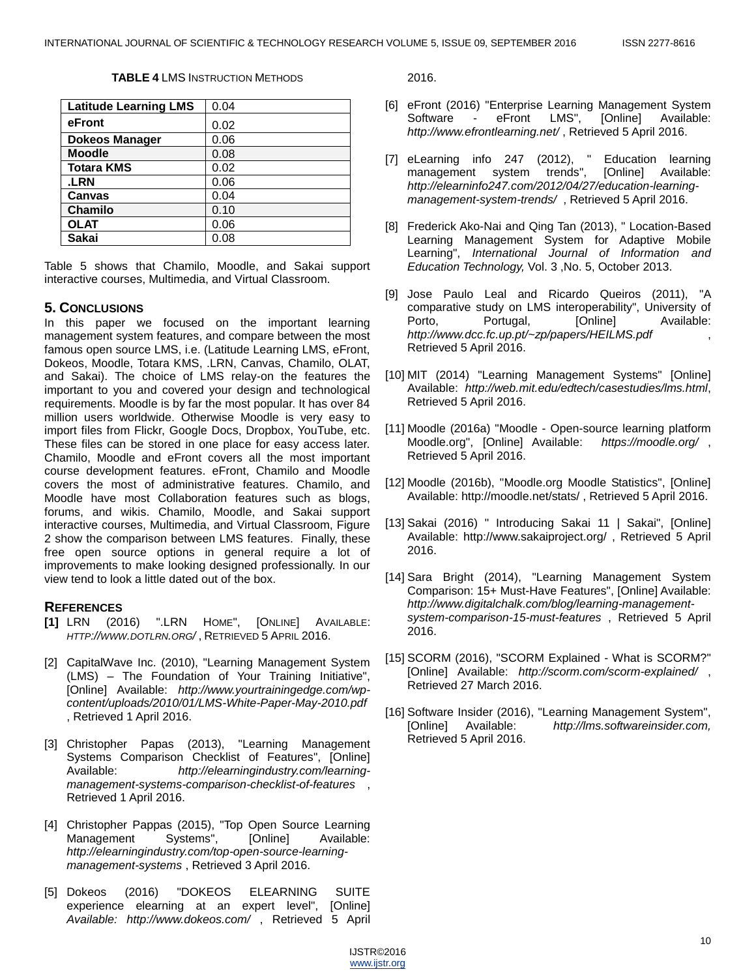#### **TABLE 4** LMS INSTRUCTION METHODS

| <b>Latitude Learning LMS</b> | 0.04 |
|------------------------------|------|
| eFront                       | 0.02 |
| <b>Dokeos Manager</b>        | 0.06 |
| <b>Moodle</b>                | 0.08 |
| <b>Totara KMS</b>            | 0.02 |
| <b>LRN</b>                   | 0.06 |
| Canvas                       | 0.04 |
| <b>Chamilo</b>               | 0.10 |
| <b>OLAT</b>                  | 0.06 |
| <b>Sakai</b>                 | 0.08 |

Table 5 shows that Chamilo, Moodle, and Sakai support interactive courses, Multimedia, and Virtual Classroom.

## **5. CONCLUSIONS**

In this paper we focused on the important learning management system features, and compare between the most famous open source LMS, i.e. (Latitude Learning LMS, eFront, Dokeos, Moodle, Totara KMS, .LRN, Canvas, Chamilo, OLAT, and Sakai). The choice of LMS relay-on the features the important to you and covered your design and technological requirements. Moodle is by far the most popular. It has over 84 million users worldwide. Otherwise Moodle is very easy to import files from Flickr, Google Docs, Dropbox, YouTube, etc. These files can be stored in one place for easy access later. Chamilo, Moodle and eFront covers all the most important course development features. eFront, Chamilo and Moodle covers the most of administrative features. Chamilo, and Moodle have most Collaboration features such as blogs, forums, and wikis. Chamilo, Moodle, and Sakai support interactive courses, Multimedia, and Virtual Classroom, Figure 2 show the comparison between LMS features. Finally, these free open source options in general require a lot of improvements to make looking designed professionally. In our view tend to look a little dated out of the box.

# <span id="page-3-11"></span>**REFERENCES**

- **[1]** LRN (2016) ".LRN HOME", [ONLINE] AVAILABLE: *HTTP://WWW.DOTLRN.ORG/* , RETRIEVED 5 APRIL 2016.
- <span id="page-3-3"></span>[2] CapitalWave Inc. (2010), "Learning Management System (LMS) – The Foundation of Your Training Initiative", [Online] Available: *http://www.yourtrainingedge.com/wpcontent/uploads/2010/01/LMS-White-Paper-May-2010.pdf* , Retrieved 1 April 2016.
- <span id="page-3-0"></span>[3] Christopher Papas (2013), "Learning Management Systems Comparison Checklist of Features", [Online] Available: *http://elearningindustry.com/learningmanagement-systems-comparison-checklist-of-features* , Retrieved 1 April 2016.
- <span id="page-3-1"></span>[4] Christopher Pappas (2015), "Top Open Source Learning Management Systems", [Online] Available: *http://elearningindustry.com/top-open-source-learningmanagement-systems* , Retrieved 3 April 2016.
- <span id="page-3-13"></span>[5] Dokeos (2016) "DOKEOS ELEARNING SUITE experience elearning at an expert level", [Online] *Available: http://www.dokeos.com/* , Retrieved 5 April

2016.

- <span id="page-3-12"></span>[6] eFront (2016) "Enterprise Learning Management System Software - eFront LMS", [Online] Available: *http://www.efrontlearning.net/* , Retrieved 5 April 2016.
- <span id="page-3-5"></span>[7] eLearning info 247 (2012), " Education learning management system trends", [Online] Available: *http://elearninfo247.com/2012/04/27/education-learningmanagement-system-trends/* , Retrieved 5 April 2016.
- <span id="page-3-6"></span>[8] Frederick Ako-Nai and Qing Tan (2013), " Location-Based Learning Management System for Adaptive Mobile Learning", *International Journal of Information and Education Technology,* Vol. 3 ,No. 5, October 2013.
- <span id="page-3-4"></span>[9] Jose Paulo Leal and Ricardo Queiros (2011), "A comparative study on LMS interoperability", University of Porto, Portugal, [Online] Available: *http://www.dcc.fc.up.pt/~zp/papers/HEILMS.pdf* , Retrieved 5 April 2016.
- <span id="page-3-10"></span>[10] MIT (2014) "Learning Management Systems" [Online] Available: *http://web.mit.edu/edtech/casestudies/lms.html*, Retrieved 5 April 2016.
- <span id="page-3-8"></span>[11] Moodle (2016a) "Moodle - Open-source learning platform Moodle.org", [Online] Available: *https://moodle.org/* , Retrieved 5 April 2016.
- <span id="page-3-9"></span>[12] Moodle (2016b), "Moodle.org Moodle Statistics", [Online] Available: http://moodle.net/stats/ , Retrieved 5 April 2016.
- <span id="page-3-14"></span>[13] Sakai (2016) " Introducing Sakai 11 | Sakai", [Online] Available: http://www.sakaiproject.org/ , Retrieved 5 April 2016.
- <span id="page-3-2"></span>[14] Sara Bright (2014), "Learning Management System Comparison: 15+ Must-Have Features", [Online] Available: *http://www.digitalchalk.com/blog/learning-managementsystem-comparison-15-must-features* , Retrieved 5 April 2016.
- <span id="page-3-7"></span>[15] SCORM (2016), "SCORM Explained - What is SCORM?" [Online] Available: *http://scorm.com/scorm-explained/* , Retrieved 27 March 2016.
- <span id="page-3-15"></span>[16] Software Insider (2016), "Learning Management System", [Online] Available: *http://lms.softwareinsider.com,*  Retrieved 5 April 2016.